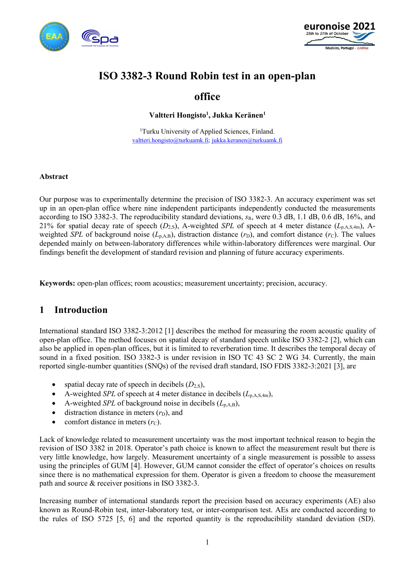



# ISO 3382-3 Round Robin test in an open-plan

# office

Valtteri Hongisto<sup>1</sup>, Jukka Keränen<sup>1</sup>

<sup>1</sup>Turku University of Applied Sciences, Finland. valtteri.hongisto@turkuamk.fi; jukka.keranen@turkuamk.fi

#### Abstract

Our purpose was to experimentally determine the precision of ISO 3382-3. An accuracy experiment was set up in an open-plan office where nine independent participants independently conducted the measurements according to ISO 3382-3. The reproducibility standard deviations,  $s_R$ , were 0.3 dB, 1.1 dB, 0.6 dB, 16%, and 21% for spatial decay rate of speech ( $D_{2,S}$ ), A-weighted SPL of speech at 4 meter distance ( $L_{p,A,S,4m}$ ), Aweighted SPL of background noise  $(L_{p,A,B})$ , distraction distance  $(r_D)$ , and comfort distance  $(r_C)$ . The values depended mainly on between-laboratory differences while within-laboratory differences were marginal. Our findings benefit the development of standard revision and planning of future accuracy experiments.

Keywords: open-plan offices; room acoustics; measurement uncertainty; precision, accuracy.

## 1 Introduction

International standard ISO 3382-3:2012 [1] describes the method for measuring the room acoustic quality of open-plan office. The method focuses on spatial decay of standard speech unlike ISO 3382-2 [2], which can also be applied in open-plan offices, but it is limited to reverberation time. It describes the temporal decay of sound in a fixed position. ISO 3382-3 is under revision in ISO TC 43 SC 2 WG 34. Currently, the main reported single-number quantities (SNQs) of the revised draft standard, ISO FDIS 3382-3:2021 [3], are

- spatial decay rate of speech in decibels  $(D_{2,S})$ ,
- A-weighted SPL of speech at 4 meter distance in decibels  $(L_{p,A,S,4m})$ ,
- A-weighted SPL of background noise in decibels  $(L_{p,A,B})$ ,
- $\bullet$  distraction distance in meters  $(r<sub>D</sub>)$ , and
- comfort distance in meters  $(r<sub>C</sub>)$ .

Lack of knowledge related to measurement uncertainty was the most important technical reason to begin the revision of ISO 3382 in 2018. Operator's path choice is known to affect the measurement result but there is very little knowledge, how largely. Measurement uncertainty of a single measurement is possible to assess using the principles of GUM [4]. However, GUM cannot consider the effect of operator's choices on results since there is no mathematical expression for them. Operator is given a freedom to choose the measurement path and source & receiver positions in ISO 3382-3.

Increasing number of international standards report the precision based on accuracy experiments (AE) also known as Round-Robin test, inter-laboratory test, or inter-comparison test. AEs are conducted according to the rules of ISO 5725 [5, 6] and the reported quantity is the reproducibility standard deviation (SD).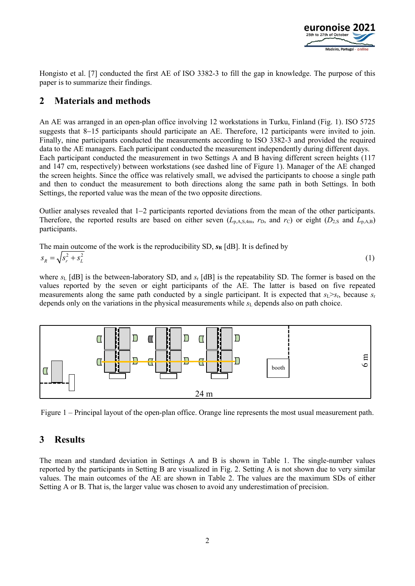

Hongisto et al. [7] conducted the first AE of ISO 3382-3 to fill the gap in knowledge. The purpose of this paper is to summarize their findings.

## 2 Materials and methods

An AE was arranged in an open-plan office involving 12 workstations in Turku, Finland (Fig. 1). ISO 5725 suggests that 8-15 participants should participate an AE. Therefore, 12 participants were invited to join. Finally, nine participants conducted the measurements according to ISO 3382-3 and provided the required data to the AE managers. Each participant conducted the measurement independently during different days. Each participant conducted the measurement in two Settings A and B having different screen heights (117 and 147 cm, respectively) between workstations (see dashed line of Figure 1). Manager of the AE changed the screen heights. Since the office was relatively small, we advised the participants to choose a single path and then to conduct the measurement to both directions along the same path in both Settings. In both Settings, the reported value was the mean of the two opposite directions.

Outlier analyses revealed that  $1-2$  participants reported deviations from the mean of the other participants. Therefore, the reported results are based on either seven  $(L_{p,A,S,4m}, r_D,$  and  $r_C$ ) or eight  $(D_{2,S}$  and  $L_{p,A,B})$ participants.

The main outcome of the work is the reproducibility SD, 
$$
s_R
$$
 [dB]. It is defined by  
\n
$$
s_R = \sqrt{s_r^2 + s_L^2}
$$
\n(1)

where  $s_L$  [dB] is the between-laboratory SD, and  $s_L$  [dB] is the repeatability SD. The former is based on the values reported by the seven or eight participants of the AE. The latter is based on five repeated measurements along the same path conducted by a single participant. It is expected that  $s_L > s_F$ , because  $s_r$ depends only on the variations in the physical measurements while  $s<sub>L</sub>$  depends also on path choice.



Figure 1 – Principal layout of the open-plan office. Orange line represents the most usual measurement path.

## 3 Results

The mean and standard deviation in Settings A and B is shown in Table 1. The single-number values reported by the participants in Setting B are visualized in Fig. 2. Setting A is not shown due to very similar values. The main outcomes of the AE are shown in Table 2. The values are the maximum SDs of either Setting A or B. That is, the larger value was chosen to avoid any underestimation of precision.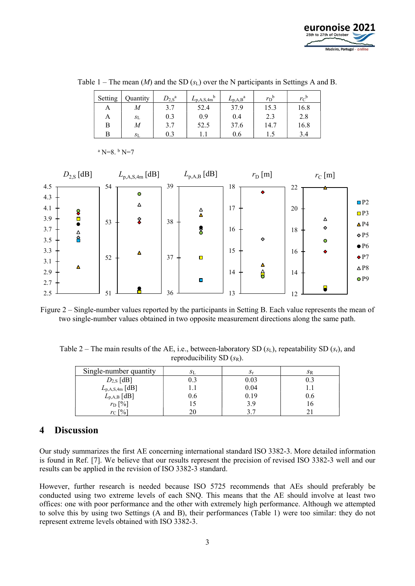

| Setting | Quantity | $D_{2,\mathrm{S}}^{\mathrm{a}}$ | h<br>$L_{\rm p,A,S,4m}$ | $L_{\rm p,A,B}^{\rm a}$ | $r_{\rm D}^{\rm b}$ | $r_c$ <sup>b</sup> |
|---------|----------|---------------------------------|-------------------------|-------------------------|---------------------|--------------------|
| А       | M        | 3.7                             | 52.4                    | 37.9                    | 15.3                | 16.8               |
| A       | $S_{L}$  | 0.3                             | 0.9                     | 0.4                     | 2.3                 | 2.8                |
| В       | M        | 3.7                             | 52.5                    | 37.6                    | 14.7                | 16.8               |
| В       | $S_{L}$  | 0.3                             |                         | 0.6                     |                     | 3.4                |

Table 1 – The mean  $(M)$  and the SD  $(s_L)$  over the N participants in Settings A and B.



 $a$  N=8.  $b$  N=7

Figure 2 – Single-number values reported by the participants in Setting B. Each value represents the mean of two single-number values obtained in two opposite measurement directions along the same path.

Table 2 – The main results of the AE, i.e., between-laboratory SD  $(s_L)$ , repeatability SD  $(s_r)$ , and reproducibility SD  $(s_R)$ .

| Single-number quantity  | SL. | Λr   | SΒ  |
|-------------------------|-----|------|-----|
| $D_{2,S}$ [dB]          | 0.3 | 0.03 | 0.3 |
| $L_{\rm p,A,S,4m}$ [dB] |     | 0.04 |     |
| $L_{\rm p,A,B}$ [dB]    | 0.6 | 0.19 | U.b |
| $r_{\rm D}$ [%]         |     | 3.9  |     |
| $r_{\rm C}$ [%]         |     |      |     |

#### 4 Discussion

Our study summarizes the first AE concerning international standard ISO 3382-3. More detailed information is found in Ref. [7]. We believe that our results represent the precision of revised ISO 3382-3 well and our results can be applied in the revision of ISO 3382-3 standard.

However, further research is needed because ISO 5725 recommends that AEs should preferably be conducted using two extreme levels of each SNQ. This means that the AE should involve at least two offices: one with poor performance and the other with extremely high performance. Although we attempted to solve this by using two Settings (A and B), their performances (Table 1) were too similar: they do not represent extreme levels obtained with ISO 3382-3.